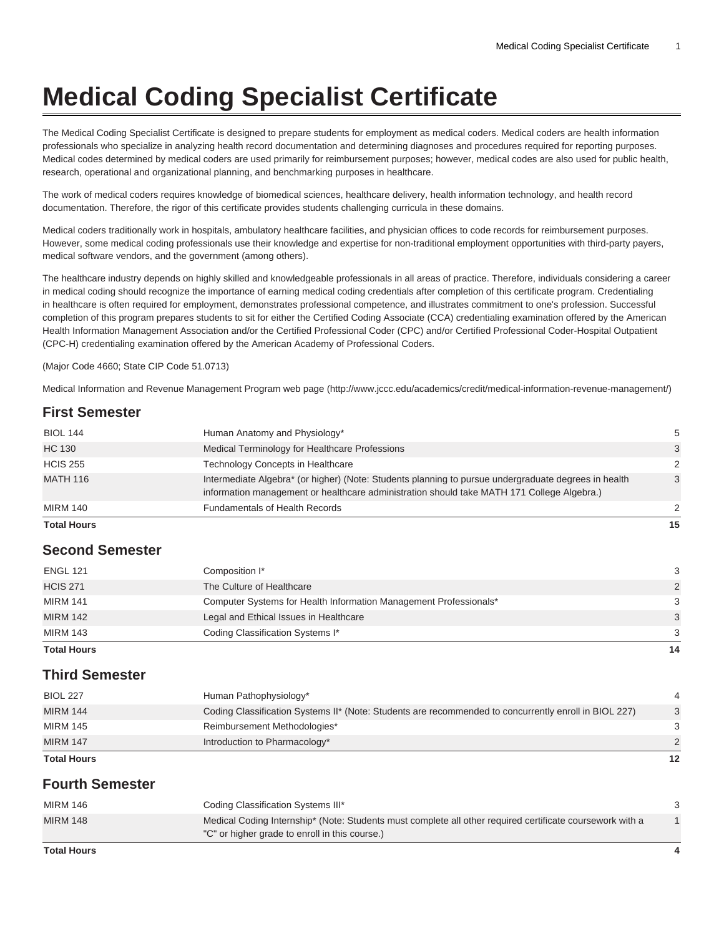# **Medical Coding Specialist Certificate**

The Medical Coding Specialist Certificate is designed to prepare students for employment as medical coders. Medical coders are health information professionals who specialize in analyzing health record documentation and determining diagnoses and procedures required for reporting purposes. Medical codes determined by medical coders are used primarily for reimbursement purposes; however, medical codes are also used for public health, research, operational and organizational planning, and benchmarking purposes in healthcare.

The work of medical coders requires knowledge of biomedical sciences, healthcare delivery, health information technology, and health record documentation. Therefore, the rigor of this certificate provides students challenging curricula in these domains.

Medical coders traditionally work in hospitals, ambulatory healthcare facilities, and physician offices to code records for reimbursement purposes. However, some medical coding professionals use their knowledge and expertise for non-traditional employment opportunities with third-party payers, medical software vendors, and the government (among others).

The healthcare industry depends on highly skilled and knowledgeable professionals in all areas of practice. Therefore, individuals considering a career in medical coding should recognize the importance of earning medical coding credentials after completion of this certificate program. Credentialing in healthcare is often required for employment, demonstrates professional competence, and illustrates commitment to one's profession. Successful completion of this program prepares students to sit for either the Certified Coding Associate (CCA) credentialing examination offered by the American Health Information Management Association and/or the Certified Professional Coder (CPC) and/or Certified Professional Coder-Hospital Outpatient (CPC-H) credentialing examination offered by the American Academy of Professional Coders.

(Major Code 4660; State CIP Code 51.0713)

[Medical Information and Revenue Management Program web page](http://www.jccc.edu/academics/credit/medical-information-revenue-management/) [\(http://www.jccc.edu/academics/credit/medical-information-revenue-management/\)](http://www.jccc.edu/academics/credit/medical-information-revenue-management/)

# **First Semester**

| <b>Total Hours</b> |                                                                                                                                                                                                    | 15 |
|--------------------|----------------------------------------------------------------------------------------------------------------------------------------------------------------------------------------------------|----|
| <b>MIRM 140</b>    | <b>Fundamentals of Health Records</b>                                                                                                                                                              | 2  |
| <b>MATH 116</b>    | Intermediate Algebra* (or higher) (Note: Students planning to pursue undergraduate degrees in health<br>information management or healthcare administration should take MATH 171 College Algebra.) | 3  |
| <b>HCIS 255</b>    | <b>Technology Concepts in Healthcare</b>                                                                                                                                                           | 2  |
| <b>HC 130</b>      | Medical Terminology for Healthcare Professions                                                                                                                                                     | 3  |
| <b>BIOL 144</b>    | Human Anatomy and Physiology*                                                                                                                                                                      | 5  |

### **Second Semester**

| <b>Total Hours</b> |                                                                   | 14            |
|--------------------|-------------------------------------------------------------------|---------------|
| <b>MIRM 143</b>    | Coding Classification Systems I*                                  | 3             |
| <b>MIRM 142</b>    | Legal and Ethical Issues in Healthcare                            | 3             |
| <b>MIRM 141</b>    | Computer Systems for Health Information Management Professionals* | 3             |
| <b>HCIS 271</b>    | The Culture of Healthcare                                         | $\mathcal{P}$ |
| <b>ENGL 121</b>    | Composition I*                                                    | 3             |

### **Third Semester**

| <b>Total Hours</b> |                                                                                                       | 12            |
|--------------------|-------------------------------------------------------------------------------------------------------|---------------|
| <b>MIRM 147</b>    | Introduction to Pharmacology*                                                                         | $\mathcal{P}$ |
| <b>MIRM 145</b>    | Reimbursement Methodologies*                                                                          | 3             |
| <b>MIRM 144</b>    | Coding Classification Systems II* (Note: Students are recommended to concurrently enroll in BIOL 227) | 3             |
| <b>BIOL 227</b>    | Human Pathophysiology*                                                                                |               |

# **Fourth Semester**

| <b>MIRM 146</b> | Coding Classification Systems III*                                                                                                                          |  |
|-----------------|-------------------------------------------------------------------------------------------------------------------------------------------------------------|--|
| <b>MIRM 148</b> | Medical Coding Internship* (Note: Students must complete all other required certificate coursework with a<br>"C" or higher grade to enroll in this course.) |  |